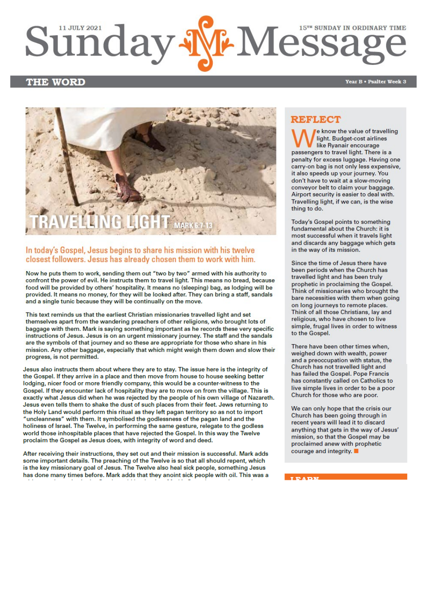# university deal de de la de la VIII de la VIII de la VIII de la VIII de la VIII de la VIII de la VIII de la VIII

## **THE WORD**

Year B . Psalter Week 3



# In today's Gospel, Jesus begins to share his mission with his twelve closest followers. Jesus has already chosen them to work with him.

Now he puts them to work, sending them out "two by two" armed with his authority to confront the power of evil. He instructs them to travel light. This means no bread, because food will be provided by others' hospitality. It means no (sleeping) bag, as lodging will be provided. It means no money, for they will be looked after. They can bring a staff, sandals and a single tunic because they will be continually on the move.

This text reminds us that the earliest Christian missionaries travelled light and set themselves apart from the wandering preachers of other religions, who brought lots of baggage with them. Mark is saying something important as he records these very specific instructions of Jesus. Jesus is on an urgent missionary journey. The staff and the sandals are the symbols of that journey and so these are appropriate for those who share in his mission. Any other baggage, especially that which might weigh them down and slow their progress, is not permitted.

# **REFLECT**

e know the value of travelling light. Budget-cost airlines like Ryanair encourage passengers to travel light. There is a penalty for excess luggage. Having one carry-on bag is not only less expensive, it also speeds up your journey. You don't have to wait at a slow-moving conveyor belt to claim your baggage. Airport security is easier to deal with. Travelling light, if we can, is the wise thing to do.

Today's Gospel points to something fundamental about the Church: it is most successful when it travels light and discards any baggage which gets in the way of its mission.

Since the time of Jesus there have been periods when the Church has travelled light and has been truly prophetic in proclaiming the Gospel. Think of missionaries who brought the bare necessities with them when going on long journeys to remote places. Think of all those Christians, lay and religious, who have chosen to live simple, frugal lives in order to witness to the Gospel.

There have been other times when, weighed down with wealth, power and a preoccupation with status, the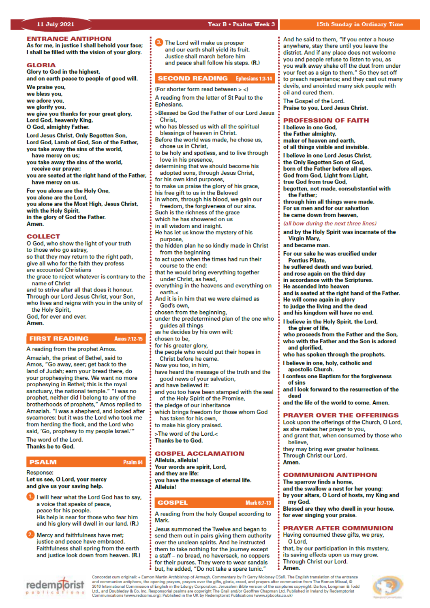#### **ENTRANCE ANTIPHON**

As for me, in justice I shall behold your face: I shall be filled with the vision of your glory.

#### **GLORIA**

#### **Glory to God in the highest.**

and on earth peace to people of good will. We praise you.

we bless you.

we adore you,

we glorify you,

we give you thanks for your great glory,

Lord God, heavenly King. O God, almighty Father.

Lord Jesus Christ, Only Begotten Son,

Lord God, Lamb of God, Son of the Father, you take away the sins of the world. have mercy on us;

- you take away the sins of the world, receive our prayer:
- you are seated at the right hand of the Father, have mercy on us.

For you alone are the Holy One, you alone are the Lord, you alone are the Most High, Jesus Christ, with the Holy Spirit,

in the glory of God the Father.

Amen.

#### **COLLECT**

O God, who show the light of your truth to those who go astray, so that they may return to the right path,

give all who for the faith they profess are accounted Christians

the grace to reject whatever is contrary to the name of Christ

and to strive after all that does it honour. Through our Lord Jesus Christ, your Son, who lives and reigns with you in the unity of

the Holy Spirit, God, for ever and ever.

Amen.

#### **FIRST READING Amos 7:12-15**

A reading from the prophet Amos.

Amaziah, the priest of Bethel, said to Amos, "Go away, seer; get back to the land of Judah; earn your bread there, do your prophesying there. We want no more prophesying in Bethel; this is the royal sanctuary, the national temple." "I was no prophet, neither did I belong to any of the brotherhoods of prophets," Amos replied to Amaziah. "I was a shepherd, and looked after sycamores: but it was the Lord who took me from herding the flock, and the Lord who said, 'Go, prophesy to my people Israel.'"

The word of the Lord. **Thanks be to God.** 

#### **PSALM**

redemporist

#### Response: Let us see, O Lord, your mercy and give us your saving help.

I will hear what the Lord God has to say, a voice that speaks of peace, peace for his people. His help is near for those who fear him and his glory will dwell in our land. (R.)

Mercy and faithfulness have met; justice and peace have embraced. Faithfulness shall spring from the earth and justice look down from heaven. (R.) The Lord will make us prosper and our earth shall vield its fruit. Justice shall march before him and peace shall follow his steps. (R.)

Year B • Psalter Week 3

**SECOND READING** Ephesians 1:3-14

- (For shorter form read between > <)
- A reading from the letter of St Paul to the Ephesians.
- >Blessed be God the Father of our Lord Jesus **Christ**
- who has blessed us with all the spiritual blessings of heaven in Christ.
- Before the world was made, he chose us, chose us in Christ,
- to be holy and spotless, and to live through love in his presence,
- determining that we should become his
- adopted sons, through Jesus Christ, for his own kind purposes,
- 
- to make us praise the glory of his grace, his free gift to us in the Beloved
- in whom, through his blood, we gain our
- freedom, the forgiveness of our sins. Such is the richness of the grace
- which he has showered on us
- in all wisdom and insight.
- He has let us know the mystery of his purpose.
- the hidden plan he so kindly made in Christ from the beginning
- to act upon when the times had run their course to the end:
- that he would bring everything together under Christ, as head,
- everything in the heavens and everything on  $earth. <$
- And it is in him that we were claimed as God's own,
- chosen from the beginning,
- under the predetermined plan of the one who guides all things
- as he decides by his own will;
- chosen to be.
- for his greater glory,
- the people who would put their hopes in Christ before he came.
- Now you too, in him,
- have heard the message of the truth and the good news of your salvation.
- and have believed it:
- and you too have been stamped with the seal of the Holy Spirit of the Promise,
- the pledge of our inheritance
- which brings freedom for those whom God has taken for his own.
- to make his glory praised.
- >The word of the Lord.<
- Thanks he to God

#### **GOSPEL ACCLAMATION**

Alleluia, alleluia!

Psalm 84

Your words are spirit, Lord,

and they are life: you have the message of eternal life.

.<br>Alleluia!

### **GOSPEL**

A reading from the holy Gospel according to Mark.

Jesus summoned the Twelve and began to send them out in pairs giving them authority over the unclean spirits. And he instructed them to take nothing for the journey except a staff - no bread, no haversack, no coppers for their purses. They were to wear sandals but, he added, "Do not take a spare tunic." Concordat cum originali: + Eamon Martin Archbishop of Armagh. Commentary by Fr Gerry Moloney CSsR. The English translation of the entrance<br>and communion antiphons, the opening prayers, prayers over the gifts, gloria, creed

And he said to them. "If you enter a house anywhere, stay there until you leave the district. And if any place does not welcome you and people refuse to listen to you, as you walk away shake off the dust from under<br>your feet as a sign to them." So they set off to preach repentance; and they cast out many devils, and anointed many sick people with oil and cured them.

**15th Sunday in Ordinary Time** 

The Gospel of the Lord. Praise to you, Lord Jesus Christ.

#### **PROFESSION OF FAITH**

I believe in one God, the Father almighty, maker of heaven and earth. of all things visible and invisible.

I believe in one Lord Jesus Christ. the Only Begotten Son of God, born of the Father before all ages. God from God, Light from Light,

true God from true God, begotten, not made, consubstantial with the Father:

through him all things were made. For us men and for our salvation he came down from heaven,

(all bow during the next three lines)

and by the Holy Spirit was incarnate of the Virgin Mary,

and became man.

For our sake he was crucified under **Pontius Pilate** 

he suffered death and was buried,

and rose again on the third day

- in accordance with the Scriptures.
- He ascended into heaven
- and is seated at the right hand of the Father.

He will come again in glory

to judge the living and the dead and his kingdom will have no end.

I believe in the Holy Spirit, the Lord, the giver of life,

who proceeds from the Father and the Son, who with the Father and the Son is adored and glorified

I confess one Baptism for the forgiveness

and the life of the world to come. Amen.

and I look forward to the resurrection of the

**PRAYER OVER THE OFFERINGS** 

Look upon the offerings of the Church, O Lord,

and grant that, when consumed by those who

who has spoken through the prophets.

I believe in one, holy, catholic and apostolic Church.

as she makes her prayer to you,

Through Christ our Lord.

The sparrow finds a home,

for ever singing your praise.

Through Christ our Lord.

they may bring ever greater holiness.

**COMMUNION ANTIPHON** 

and the swallow a nest for her young: by your altars, O Lord of hosts, my King and

Blessed are they who dwell in your house,

**PRAYER AFTER COMMUNION** 

Having consumed these gifts, we pray,

that, by our participation in this mystery,

its saving effects upon us may grow.

of sins

dead

**believe** 

my God.

O Lord.

Amen.

**Mark 6:7-13** 

Amen.